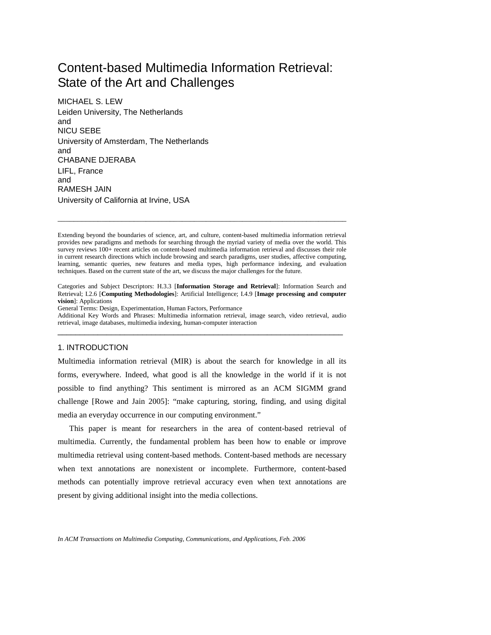# Content-based Multimedia Information Retrieval: State of the Art and Challenges

MICHAEL S. LEW Leiden University, The Netherlands and NICU SEBE University of Amsterdam, The Netherlands and CHABANE DJERABA LIFL, France and RAMESH JAIN University of California at Irvine, USA

\_\_\_\_\_\_\_\_\_\_\_\_\_\_\_\_\_\_\_\_\_\_\_\_\_\_\_\_\_\_\_\_\_\_\_\_\_\_\_\_\_\_\_\_\_\_\_\_\_\_\_\_\_\_\_\_\_\_\_\_\_\_\_\_\_\_\_\_\_\_\_\_

Categories and Subject Descriptors: H.3.3 [**Information Storage and Retrieval**]: Information Search and Retrieval; I.2.6 [**Computing Methodologies**]: Artificial Intelligence; I.4.9 [**Image processing and computer vision**]: Applications

General Terms: Design, Experimentation, Human Factors, Performance

Additional Key Words and Phrases: Multimedia information retrieval, image search, video retrieval, audio retrieval, image databases, multimedia indexing, human-computer interaction \_\_\_\_\_\_\_\_\_\_\_\_\_\_\_\_\_\_\_\_\_\_\_\_\_\_\_\_\_\_\_\_\_\_\_\_\_\_\_\_\_\_\_\_\_\_\_\_\_\_\_\_\_\_\_\_\_\_\_\_\_\_\_\_

## 1. INTRODUCTION

Multimedia information retrieval (MIR) is about the search for knowledge in all its forms, everywhere. Indeed, what good is all the knowledge in the world if it is not possible to find anything? This sentiment is mirrored as an ACM SIGMM grand challenge [Rowe and Jain 2005]: "make capturing, storing, finding, and using digital media an everyday occurrence in our computing environment."

This paper is meant for researchers in the area of content-based retrieval of multimedia. Currently, the fundamental problem has been how to enable or improve multimedia retrieval using content-based methods. Content-based methods are necessary when text annotations are nonexistent or incomplete. Furthermore, content-based methods can potentially improve retrieval accuracy even when text annotations are present by giving additional insight into the media collections.

Extending beyond the boundaries of science, art, and culture, content-based multimedia information retrieval provides new paradigms and methods for searching through the myriad variety of media over the world. This survey reviews 100+ recent articles on content-based multimedia information retrieval and discusses their role in current research directions which include browsing and search paradigms, user studies, affective computing, learning, semantic queries, new features and media types, high performance indexing, and evaluation techniques. Based on the current state of the art, we discuss the major challenges for the future.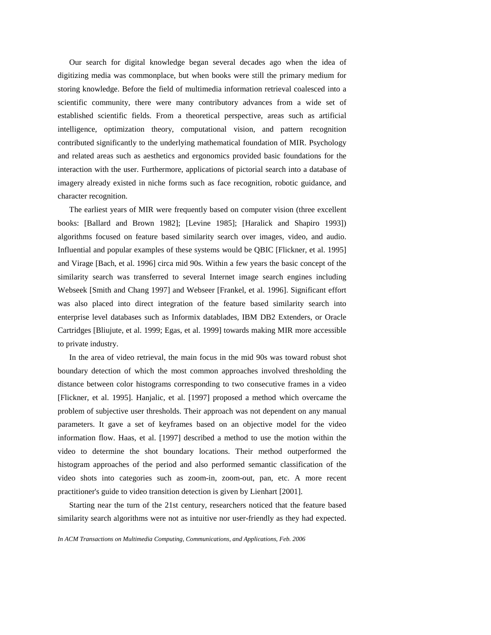Our search for digital knowledge began several decades ago when the idea of digitizing media was commonplace, but when books were still the primary medium for storing knowledge. Before the field of multimedia information retrieval coalesced into a scientific community, there were many contributory advances from a wide set of established scientific fields. From a theoretical perspective, areas such as artificial intelligence, optimization theory, computational vision, and pattern recognition contributed significantly to the underlying mathematical foundation of MIR. Psychology and related areas such as aesthetics and ergonomics provided basic foundations for the interaction with the user. Furthermore, applications of pictorial search into a database of imagery already existed in niche forms such as face recognition, robotic guidance, and character recognition.

The earliest years of MIR were frequently based on computer vision (three excellent books: [Ballard and Brown 1982]; [Levine 1985]; [Haralick and Shapiro 1993]) algorithms focused on feature based similarity search over images, video, and audio. Influential and popular examples of these systems would be QBIC [Flickner, et al. 1995] and Virage [Bach, et al. 1996] circa mid 90s. Within a few years the basic concept of the similarity search was transferred to several Internet image search engines including Webseek [Smith and Chang 1997] and Webseer [Frankel, et al. 1996]. Significant effort was also placed into direct integration of the feature based similarity search into enterprise level databases such as Informix datablades, IBM DB2 Extenders, or Oracle Cartridges [Bliujute, et al. 1999; Egas, et al. 1999] towards making MIR more accessible to private industry.

In the area of video retrieval, the main focus in the mid 90s was toward robust shot boundary detection of which the most common approaches involved thresholding the distance between color histograms corresponding to two consecutive frames in a video [Flickner, et al. 1995]. Hanjalic, et al. [1997] proposed a method which overcame the problem of subjective user thresholds. Their approach was not dependent on any manual parameters. It gave a set of keyframes based on an objective model for the video information flow. Haas, et al. [1997] described a method to use the motion within the video to determine the shot boundary locations. Their method outperformed the histogram approaches of the period and also performed semantic classification of the video shots into categories such as zoom-in, zoom-out, pan, etc. A more recent practitioner's guide to video transition detection is given by Lienhart [2001].

Starting near the turn of the 21st century, researchers noticed that the feature based similarity search algorithms were not as intuitive nor user-friendly as they had expected.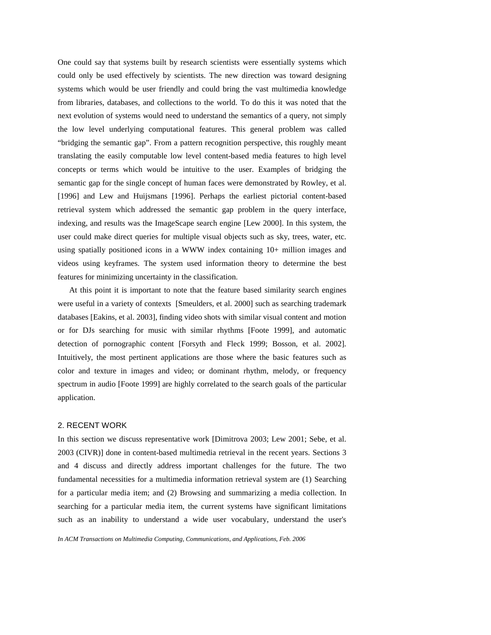One could say that systems built by research scientists were essentially systems which could only be used effectively by scientists. The new direction was toward designing systems which would be user friendly and could bring the vast multimedia knowledge from libraries, databases, and collections to the world. To do this it was noted that the next evolution of systems would need to understand the semantics of a query, not simply the low level underlying computational features. This general problem was called "bridging the semantic gap". From a pattern recognition perspective, this roughly meant translating the easily computable low level content-based media features to high level concepts or terms which would be intuitive to the user. Examples of bridging the semantic gap for the single concept of human faces were demonstrated by Rowley, et al. [1996] and Lew and Huijsmans [1996]. Perhaps the earliest pictorial content-based retrieval system which addressed the semantic gap problem in the query interface, indexing, and results was the ImageScape search engine [Lew 2000]. In this system, the user could make direct queries for multiple visual objects such as sky, trees, water, etc. using spatially positioned icons in a WWW index containing 10+ million images and videos using keyframes. The system used information theory to determine the best features for minimizing uncertainty in the classification.

At this point it is important to note that the feature based similarity search engines were useful in a variety of contexts [Smeulders, et al. 2000] such as searching trademark databases [Eakins, et al. 2003], finding video shots with similar visual content and motion or for DJs searching for music with similar rhythms [Foote 1999], and automatic detection of pornographic content [Forsyth and Fleck 1999; Bosson, et al. 2002]. Intuitively, the most pertinent applications are those where the basic features such as color and texture in images and video; or dominant rhythm, melody, or frequency spectrum in audio [Foote 1999] are highly correlated to the search goals of the particular application.

#### 2. RECENT WORK

In this section we discuss representative work [Dimitrova 2003; Lew 2001; Sebe, et al. 2003 (CIVR)] done in content-based multimedia retrieval in the recent years. Sections 3 and 4 discuss and directly address important challenges for the future. The two fundamental necessities for a multimedia information retrieval system are (1) Searching for a particular media item; and (2) Browsing and summarizing a media collection. In searching for a particular media item, the current systems have significant limitations such as an inability to understand a wide user vocabulary, understand the user's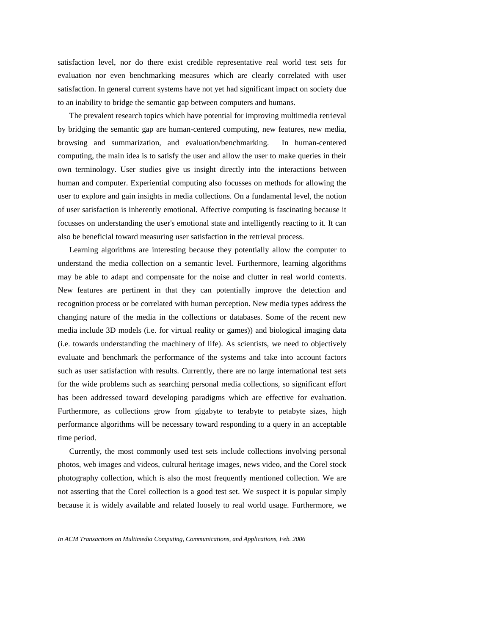satisfaction level, nor do there exist credible representative real world test sets for evaluation nor even benchmarking measures which are clearly correlated with user satisfaction. In general current systems have not yet had significant impact on society due to an inability to bridge the semantic gap between computers and humans.

The prevalent research topics which have potential for improving multimedia retrieval by bridging the semantic gap are human-centered computing, new features, new media, browsing and summarization, and evaluation/benchmarking. In human-centered computing, the main idea is to satisfy the user and allow the user to make queries in their own terminology. User studies give us insight directly into the interactions between human and computer. Experiential computing also focusses on methods for allowing the user to explore and gain insights in media collections. On a fundamental level, the notion of user satisfaction is inherently emotional. Affective computing is fascinating because it focusses on understanding the user's emotional state and intelligently reacting to it. It can also be beneficial toward measuring user satisfaction in the retrieval process.

Learning algorithms are interesting because they potentially allow the computer to understand the media collection on a semantic level. Furthermore, learning algorithms may be able to adapt and compensate for the noise and clutter in real world contexts. New features are pertinent in that they can potentially improve the detection and recognition process or be correlated with human perception. New media types address the changing nature of the media in the collections or databases. Some of the recent new media include 3D models (i.e. for virtual reality or games)) and biological imaging data (i.e. towards understanding the machinery of life). As scientists, we need to objectively evaluate and benchmark the performance of the systems and take into account factors such as user satisfaction with results. Currently, there are no large international test sets for the wide problems such as searching personal media collections, so significant effort has been addressed toward developing paradigms which are effective for evaluation. Furthermore, as collections grow from gigabyte to terabyte to petabyte sizes, high performance algorithms will be necessary toward responding to a query in an acceptable time period.

Currently, the most commonly used test sets include collections involving personal photos, web images and videos, cultural heritage images, news video, and the Corel stock photography collection, which is also the most frequently mentioned collection. We are not asserting that the Corel collection is a good test set. We suspect it is popular simply because it is widely available and related loosely to real world usage. Furthermore, we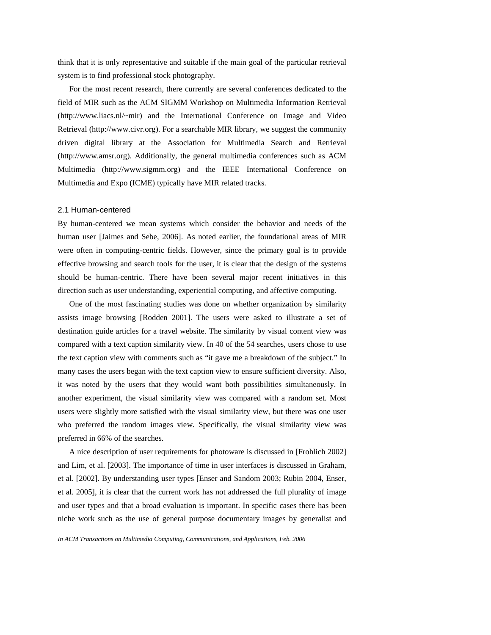think that it is only representative and suitable if the main goal of the particular retrieval system is to find professional stock photography.

For the most recent research, there currently are several conferences dedicated to the field of MIR such as the ACM SIGMM Workshop on Multimedia Information Retrieval (http://www.liacs.nl/~mir) and the International Conference on Image and Video Retrieval (http://www.civr.org). For a searchable MIR library, we suggest the community driven digital library at the Association for Multimedia Search and Retrieval (http://www.amsr.org). Additionally, the general multimedia conferences such as ACM Multimedia (http://www.sigmm.org) and the IEEE International Conference on Multimedia and Expo (ICME) typically have MIR related tracks.

#### 2.1 Human-centered

By human-centered we mean systems which consider the behavior and needs of the human user [Jaimes and Sebe, 2006]. As noted earlier, the foundational areas of MIR were often in computing-centric fields. However, since the primary goal is to provide effective browsing and search tools for the user, it is clear that the design of the systems should be human-centric. There have been several major recent initiatives in this direction such as user understanding, experiential computing, and affective computing.

One of the most fascinating studies was done on whether organization by similarity assists image browsing [Rodden 2001]. The users were asked to illustrate a set of destination guide articles for a travel website. The similarity by visual content view was compared with a text caption similarity view. In 40 of the 54 searches, users chose to use the text caption view with comments such as "it gave me a breakdown of the subject." In many cases the users began with the text caption view to ensure sufficient diversity. Also, it was noted by the users that they would want both possibilities simultaneously. In another experiment, the visual similarity view was compared with a random set. Most users were slightly more satisfied with the visual similarity view, but there was one user who preferred the random images view. Specifically, the visual similarity view was preferred in 66% of the searches.

A nice description of user requirements for photoware is discussed in [Frohlich 2002] and Lim, et al. [2003]. The importance of time in user interfaces is discussed in Graham, et al. [2002]. By understanding user types [Enser and Sandom 2003; Rubin 2004, Enser, et al. 2005], it is clear that the current work has not addressed the full plurality of image and user types and that a broad evaluation is important. In specific cases there has been niche work such as the use of general purpose documentary images by generalist and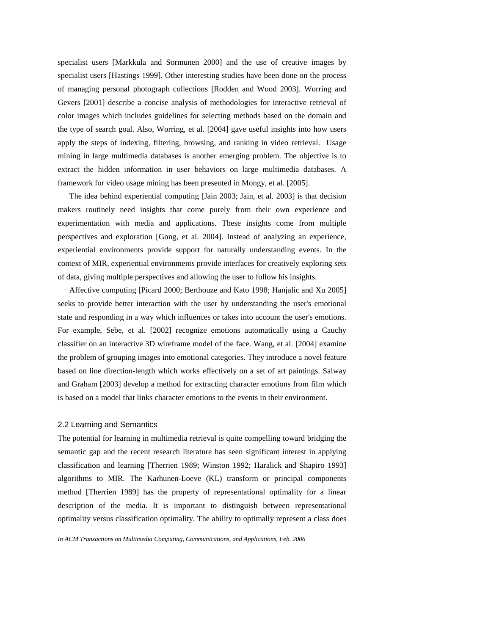specialist users [Markkula and Sormunen 2000] and the use of creative images by specialist users [Hastings 1999]. Other interesting studies have been done on the process of managing personal photograph collections [Rodden and Wood 2003]. Worring and Gevers [2001] describe a concise analysis of methodologies for interactive retrieval of color images which includes guidelines for selecting methods based on the domain and the type of search goal. Also, Worring, et al. [2004] gave useful insights into how users apply the steps of indexing, filtering, browsing, and ranking in video retrieval. Usage mining in large multimedia databases is another emerging problem. The objective is to extract the hidden information in user behaviors on large multimedia databases. A framework for video usage mining has been presented in Mongy, et al. [2005].

The idea behind experiential computing [Jain 2003; Jain, et al. 2003] is that decision makers routinely need insights that come purely from their own experience and experimentation with media and applications. These insights come from multiple perspectives and exploration [Gong, et al. 2004]. Instead of analyzing an experience, experiential environments provide support for naturally understanding events. In the context of MIR, experiential environments provide interfaces for creatively exploring sets of data, giving multiple perspectives and allowing the user to follow his insights.

Affective computing [Picard 2000; Berthouze and Kato 1998; Hanjalic and Xu 2005] seeks to provide better interaction with the user by understanding the user's emotional state and responding in a way which influences or takes into account the user's emotions. For example, Sebe, et al. [2002] recognize emotions automatically using a Cauchy classifier on an interactive 3D wireframe model of the face. Wang, et al. [2004] examine the problem of grouping images into emotional categories. They introduce a novel feature based on line direction-length which works effectively on a set of art paintings. Salway and Graham [2003] develop a method for extracting character emotions from film which is based on a model that links character emotions to the events in their environment.

#### 2.2 Learning and Semantics

The potential for learning in multimedia retrieval is quite compelling toward bridging the semantic gap and the recent research literature has seen significant interest in applying classification and learning [Therrien 1989; Winston 1992; Haralick and Shapiro 1993] algorithms to MIR. The Karhunen-Loeve (KL) transform or principal components method [Therrien 1989] has the property of representational optimality for a linear description of the media. It is important to distinguish between representational optimality versus classification optimality. The ability to optimally represent a class does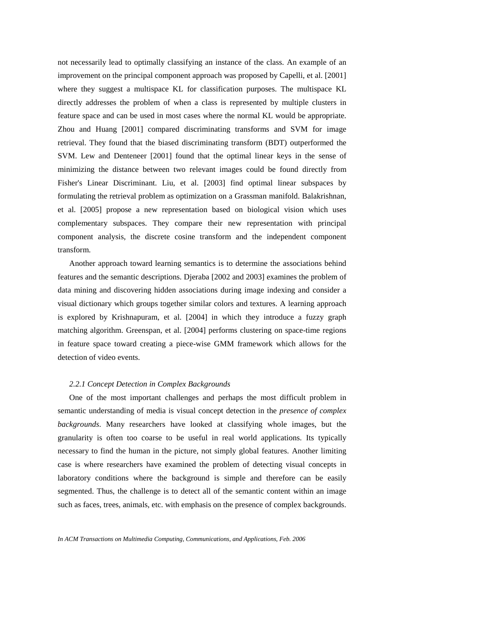not necessarily lead to optimally classifying an instance of the class. An example of an improvement on the principal component approach was proposed by Capelli, et al. [2001] where they suggest a multispace KL for classification purposes. The multispace KL directly addresses the problem of when a class is represented by multiple clusters in feature space and can be used in most cases where the normal KL would be appropriate. Zhou and Huang [2001] compared discriminating transforms and SVM for image retrieval. They found that the biased discriminating transform (BDT) outperformed the SVM. Lew and Denteneer [2001] found that the optimal linear keys in the sense of minimizing the distance between two relevant images could be found directly from Fisher's Linear Discriminant. Liu, et al. [2003] find optimal linear subspaces by formulating the retrieval problem as optimization on a Grassman manifold. Balakrishnan, et al. [2005] propose a new representation based on biological vision which uses complementary subspaces. They compare their new representation with principal component analysis, the discrete cosine transform and the independent component transform.

Another approach toward learning semantics is to determine the associations behind features and the semantic descriptions. Djeraba [2002 and 2003] examines the problem of data mining and discovering hidden associations during image indexing and consider a visual dictionary which groups together similar colors and textures. A learning approach is explored by Krishnapuram, et al. [2004] in which they introduce a fuzzy graph matching algorithm. Greenspan, et al. [2004] performs clustering on space-time regions in feature space toward creating a piece-wise GMM framework which allows for the detection of video events.

## *2.2.1 Concept Detection in Complex Backgrounds*

One of the most important challenges and perhaps the most difficult problem in semantic understanding of media is visual concept detection in the *presence of complex backgrounds*. Many researchers have looked at classifying whole images, but the granularity is often too coarse to be useful in real world applications. Its typically necessary to find the human in the picture, not simply global features. Another limiting case is where researchers have examined the problem of detecting visual concepts in laboratory conditions where the background is simple and therefore can be easily segmented. Thus, the challenge is to detect all of the semantic content within an image such as faces, trees, animals, etc. with emphasis on the presence of complex backgrounds.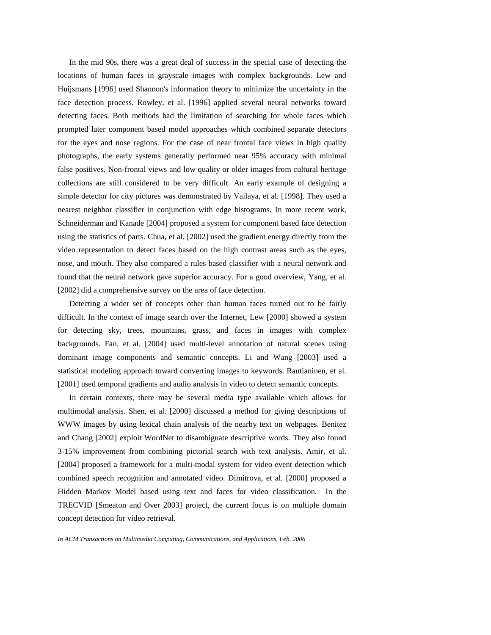In the mid 90s, there was a great deal of success in the special case of detecting the locations of human faces in grayscale images with complex backgrounds. Lew and Huijsmans [1996] used Shannon's information theory to minimize the uncertainty in the face detection process. Rowley, et al. [1996] applied several neural networks toward detecting faces. Both methods had the limitation of searching for whole faces which prompted later component based model approaches which combined separate detectors for the eyes and nose regions. For the case of near frontal face views in high quality photographs, the early systems generally performed near 95% accuracy with minimal false positives. Non-frontal views and low quality or older images from cultural heritage collections are still considered to be very difficult. An early example of designing a simple detector for city pictures was demonstrated by Vailaya, et al. [1998]. They used a nearest neighbor classifier in conjunction with edge histograms. In more recent work, Schneiderman and Kanade [2004] proposed a system for component based face detection using the statistics of parts. Chua, et al. [2002] used the gradient energy directly from the video representation to detect faces based on the high contrast areas such as the eyes, nose, and mouth. They also compared a rules based classifier with a neural network and found that the neural network gave superior accuracy. For a good overview, Yang, et al. [2002] did a comprehensive survey on the area of face detection.

Detecting a wider set of concepts other than human faces turned out to be fairly difficult. In the context of image search over the Internet, Lew [2000] showed a system for detecting sky, trees, mountains, grass, and faces in images with complex backgrounds. Fan, et al. [2004] used multi-level annotation of natural scenes using dominant image components and semantic concepts. Li and Wang [2003] used a statistical modeling approach toward converting images to keywords. Rautianinen, et al. [2001] used temporal gradients and audio analysis in video to detect semantic concepts.

In certain contexts, there may be several media type available which allows for multimodal analysis. Shen, et al. [2000] discussed a method for giving descriptions of WWW images by using lexical chain analysis of the nearby text on webpages. Benitez and Chang [2002] exploit WordNet to disambiguate descriptive words. They also found 3-15% improvement from combining pictorial search with text analysis. Amir, et al. [2004] proposed a framework for a multi-modal system for video event detection which combined speech recognition and annotated video. Dimitrova, et al. [2000] proposed a Hidden Markov Model based using text and faces for video classification. In the TRECVID [Smeaton and Over 2003] project, the current focus is on multiple domain concept detection for video retrieval.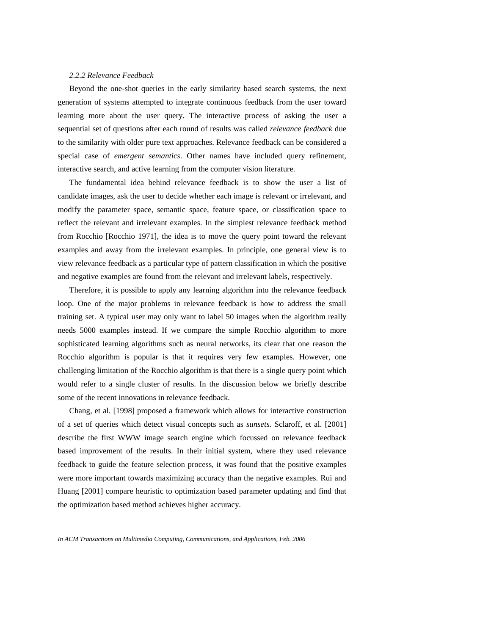# *2.2.2 Relevance Feedback*

Beyond the one-shot queries in the early similarity based search systems, the next generation of systems attempted to integrate continuous feedback from the user toward learning more about the user query. The interactive process of asking the user a sequential set of questions after each round of results was called *relevance feedback* due to the similarity with older pure text approaches. Relevance feedback can be considered a special case of *emergent semantics*. Other names have included query refinement, interactive search, and active learning from the computer vision literature.

The fundamental idea behind relevance feedback is to show the user a list of candidate images, ask the user to decide whether each image is relevant or irrelevant, and modify the parameter space, semantic space, feature space, or classification space to reflect the relevant and irrelevant examples. In the simplest relevance feedback method from Rocchio [Rocchio 1971], the idea is to move the query point toward the relevant examples and away from the irrelevant examples. In principle, one general view is to view relevance feedback as a particular type of pattern classification in which the positive and negative examples are found from the relevant and irrelevant labels, respectively.

Therefore, it is possible to apply any learning algorithm into the relevance feedback loop. One of the major problems in relevance feedback is how to address the small training set. A typical user may only want to label 50 images when the algorithm really needs 5000 examples instead. If we compare the simple Rocchio algorithm to more sophisticated learning algorithms such as neural networks, its clear that one reason the Rocchio algorithm is popular is that it requires very few examples. However, one challenging limitation of the Rocchio algorithm is that there is a single query point which would refer to a single cluster of results. In the discussion below we briefly describe some of the recent innovations in relevance feedback.

Chang, et al. [1998] proposed a framework which allows for interactive construction of a set of queries which detect visual concepts such as *sunsets.* Sclaroff, et al. [2001] describe the first WWW image search engine which focussed on relevance feedback based improvement of the results. In their initial system, where they used relevance feedback to guide the feature selection process, it was found that the positive examples were more important towards maximizing accuracy than the negative examples. Rui and Huang [2001] compare heuristic to optimization based parameter updating and find that the optimization based method achieves higher accuracy.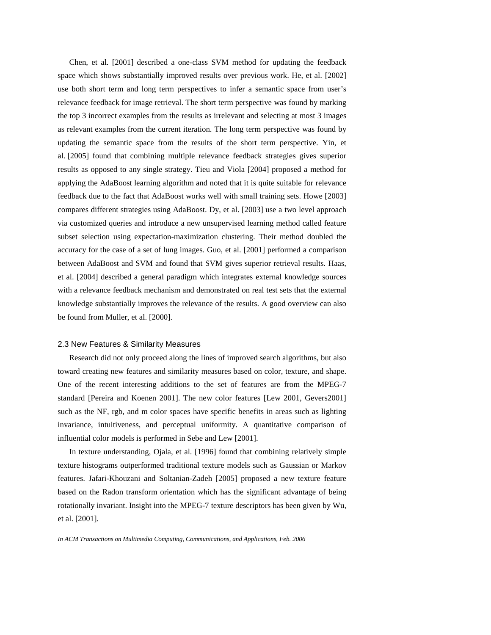Chen, et al. [2001] described a one-class SVM method for updating the feedback space which shows substantially improved results over previous work. He, et al. [2002] use both short term and long term perspectives to infer a semantic space from user's relevance feedback for image retrieval. The short term perspective was found by marking the top 3 incorrect examples from the results as irrelevant and selecting at most 3 images as relevant examples from the current iteration. The long term perspective was found by updating the semantic space from the results of the short term perspective. Yin, et al. [2005] found that combining multiple relevance feedback strategies gives superior results as opposed to any single strategy. Tieu and Viola [2004] proposed a method for applying the AdaBoost learning algorithm and noted that it is quite suitable for relevance feedback due to the fact that AdaBoost works well with small training sets. Howe [2003] compares different strategies using AdaBoost. Dy, et al. [2003] use a two level approach via customized queries and introduce a new unsupervised learning method called feature subset selection using expectation-maximization clustering. Their method doubled the accuracy for the case of a set of lung images. Guo, et al. [2001] performed a comparison between AdaBoost and SVM and found that SVM gives superior retrieval results. Haas, et al. [2004] described a general paradigm which integrates external knowledge sources with a relevance feedback mechanism and demonstrated on real test sets that the external knowledge substantially improves the relevance of the results. A good overview can also be found from Muller, et al. [2000].

## 2.3 New Features & Similarity Measures

Research did not only proceed along the lines of improved search algorithms, but also toward creating new features and similarity measures based on color, texture, and shape. One of the recent interesting additions to the set of features are from the MPEG-7 standard [Pereira and Koenen 2001]. The new color features [Lew 2001, Gevers2001] such as the NF, rgb, and m color spaces have specific benefits in areas such as lighting invariance, intuitiveness, and perceptual uniformity. A quantitative comparison of influential color models is performed in Sebe and Lew [2001].

In texture understanding, Ojala, et al. [1996] found that combining relatively simple texture histograms outperformed traditional texture models such as Gaussian or Markov features. Jafari-Khouzani and Soltanian-Zadeh [2005] proposed a new texture feature based on the Radon transform orientation which has the significant advantage of being rotationally invariant. Insight into the MPEG-7 texture descriptors has been given by Wu, et al. [2001].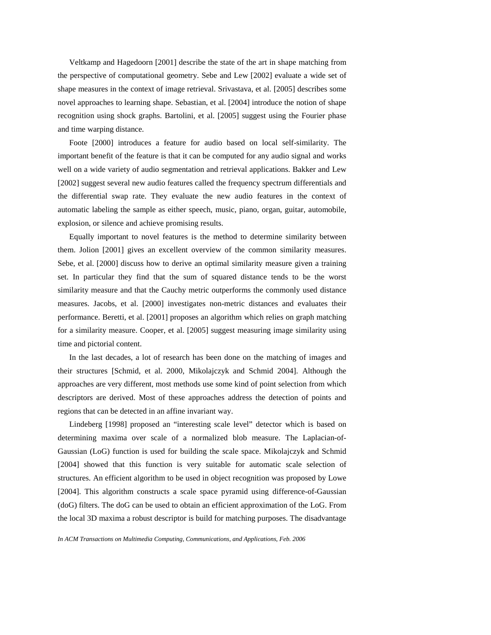Veltkamp and Hagedoorn [2001] describe the state of the art in shape matching from the perspective of computational geometry. Sebe and Lew [2002] evaluate a wide set of shape measures in the context of image retrieval. Srivastava, et al. [2005] describes some novel approaches to learning shape. Sebastian, et al. [2004] introduce the notion of shape recognition using shock graphs. Bartolini, et al. [2005] suggest using the Fourier phase and time warping distance.

Foote [2000] introduces a feature for audio based on local self-similarity. The important benefit of the feature is that it can be computed for any audio signal and works well on a wide variety of audio segmentation and retrieval applications. Bakker and Lew [2002] suggest several new audio features called the frequency spectrum differentials and the differential swap rate. They evaluate the new audio features in the context of automatic labeling the sample as either speech, music, piano, organ, guitar, automobile, explosion, or silence and achieve promising results.

Equally important to novel features is the method to determine similarity between them. Jolion [2001] gives an excellent overview of the common similarity measures. Sebe, et al. [2000] discuss how to derive an optimal similarity measure given a training set. In particular they find that the sum of squared distance tends to be the worst similarity measure and that the Cauchy metric outperforms the commonly used distance measures. Jacobs, et al. [2000] investigates non-metric distances and evaluates their performance. Beretti, et al. [2001] proposes an algorithm which relies on graph matching for a similarity measure. Cooper, et al. [2005] suggest measuring image similarity using time and pictorial content.

In the last decades, a lot of research has been done on the matching of images and their structures [Schmid, et al. 2000, Mikolajczyk and Schmid 2004]. Although the approaches are very different, most methods use some kind of point selection from which descriptors are derived. Most of these approaches address the detection of points and regions that can be detected in an affine invariant way.

Lindeberg [1998] proposed an "interesting scale level" detector which is based on determining maxima over scale of a normalized blob measure. The Laplacian-of-Gaussian (LoG) function is used for building the scale space. Mikolajczyk and Schmid [2004] showed that this function is very suitable for automatic scale selection of structures. An efficient algorithm to be used in object recognition was proposed by Lowe [2004]. This algorithm constructs a scale space pyramid using difference-of-Gaussian (doG) filters. The doG can be used to obtain an efficient approximation of the LoG. From the local 3D maxima a robust descriptor is build for matching purposes. The disadvantage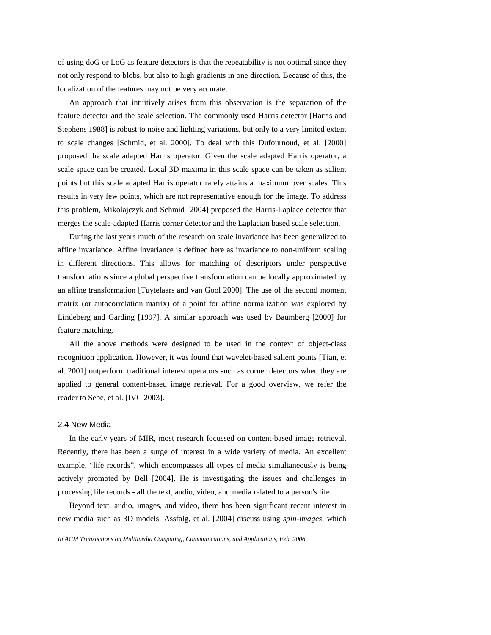of using doG or LoG as feature detectors is that the repeatability is not optimal since they not only respond to blobs, but also to high gradients in one direction. Because of this, the localization of the features may not be very accurate.

An approach that intuitively arises from this observation is the separation of the feature detector and the scale selection. The commonly used Harris detector [Harris and Stephens 1988] is robust to noise and lighting variations, but only to a very limited extent to scale changes [Schmid, et al. 2000]. To deal with this Dufournoud, et al. [2000] proposed the scale adapted Harris operator. Given the scale adapted Harris operator, a scale space can be created. Local 3D maxima in this scale space can be taken as salient points but this scale adapted Harris operator rarely attains a maximum over scales. This results in very few points, which are not representative enough for the image. To address this problem, Mikolajczyk and Schmid [2004] proposed the Harris-Laplace detector that merges the scale-adapted Harris corner detector and the Laplacian based scale selection.

During the last years much of the research on scale invariance has been generalized to affine invariance. Affine invariance is defined here as invariance to non-uniform scaling in different directions. This allows for matching of descriptors under perspective transformations since a global perspective transformation can be locally approximated by an affine transformation [Tuytelaars and van Gool 2000]. The use of the second moment matrix (or autocorrelation matrix) of a point for affine normalization was explored by Lindeberg and Garding [1997]. A similar approach was used by Baumberg [2000] for feature matching.

All the above methods were designed to be used in the context of object-class recognition application. However, it was found that wavelet-based salient points [Tian, et al. 2001] outperform traditional interest operators such as corner detectors when they are applied to general content-based image retrieval. For a good overview, we refer the reader to Sebe, et al. [IVC 2003].

#### 2.4 New Media

In the early years of MIR, most research focussed on content-based image retrieval. Recently, there has been a surge of interest in a wide variety of media. An excellent example, "life records", which encompasses all types of media simultaneously is being actively promoted by Bell [2004]. He is investigating the issues and challenges in processing life records - all the text, audio, video, and media related to a person's life.

Beyond text, audio, images, and video, there has been significant recent interest in new media such as 3D models. Assfalg, et al. [2004] discuss using *spin-images*, which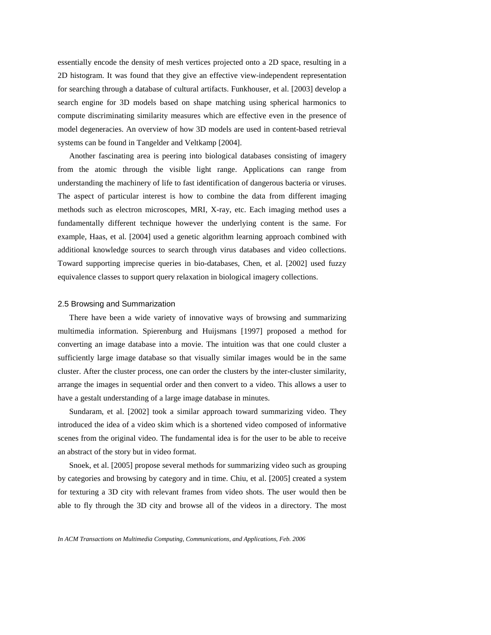essentially encode the density of mesh vertices projected onto a 2D space, resulting in a 2D histogram. It was found that they give an effective view-independent representation for searching through a database of cultural artifacts. Funkhouser, et al. [2003] develop a search engine for 3D models based on shape matching using spherical harmonics to compute discriminating similarity measures which are effective even in the presence of model degeneracies. An overview of how 3D models are used in content-based retrieval systems can be found in Tangelder and Veltkamp [2004].

Another fascinating area is peering into biological databases consisting of imagery from the atomic through the visible light range. Applications can range from understanding the machinery of life to fast identification of dangerous bacteria or viruses. The aspect of particular interest is how to combine the data from different imaging methods such as electron microscopes, MRI, X-ray, etc. Each imaging method uses a fundamentally different technique however the underlying content is the same. For example, Haas, et al. [2004] used a genetic algorithm learning approach combined with additional knowledge sources to search through virus databases and video collections. Toward supporting imprecise queries in bio-databases, Chen, et al. [2002] used fuzzy equivalence classes to support query relaxation in biological imagery collections.

#### 2.5 Browsing and Summarization

There have been a wide variety of innovative ways of browsing and summarizing multimedia information. Spierenburg and Huijsmans [1997] proposed a method for converting an image database into a movie. The intuition was that one could cluster a sufficiently large image database so that visually similar images would be in the same cluster. After the cluster process, one can order the clusters by the inter-cluster similarity, arrange the images in sequential order and then convert to a video. This allows a user to have a gestalt understanding of a large image database in minutes.

Sundaram, et al. [2002] took a similar approach toward summarizing video. They introduced the idea of a video skim which is a shortened video composed of informative scenes from the original video. The fundamental idea is for the user to be able to receive an abstract of the story but in video format.

Snoek, et al. [2005] propose several methods for summarizing video such as grouping by categories and browsing by category and in time. Chiu, et al. [2005] created a system for texturing a 3D city with relevant frames from video shots. The user would then be able to fly through the 3D city and browse all of the videos in a directory. The most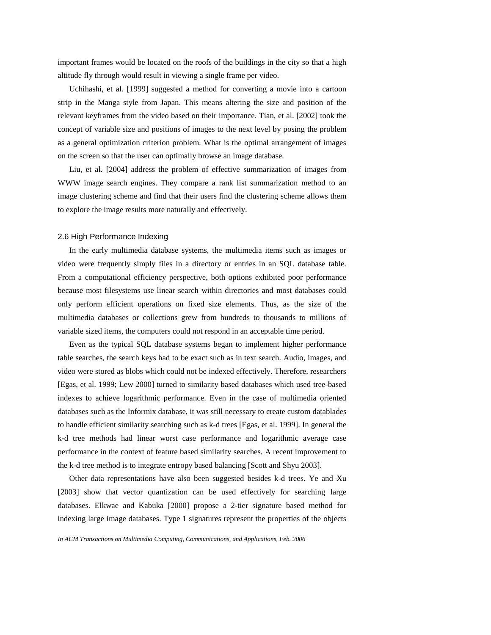important frames would be located on the roofs of the buildings in the city so that a high altitude fly through would result in viewing a single frame per video.

Uchihashi, et al. [1999] suggested a method for converting a movie into a cartoon strip in the Manga style from Japan. This means altering the size and position of the relevant keyframes from the video based on their importance. Tian, et al. [2002] took the concept of variable size and positions of images to the next level by posing the problem as a general optimization criterion problem. What is the optimal arrangement of images on the screen so that the user can optimally browse an image database.

Liu, et al. [2004] address the problem of effective summarization of images from WWW image search engines. They compare a rank list summarization method to an image clustering scheme and find that their users find the clustering scheme allows them to explore the image results more naturally and effectively.

## 2.6 High Performance Indexing

In the early multimedia database systems, the multimedia items such as images or video were frequently simply files in a directory or entries in an SQL database table. From a computational efficiency perspective, both options exhibited poor performance because most filesystems use linear search within directories and most databases could only perform efficient operations on fixed size elements. Thus, as the size of the multimedia databases or collections grew from hundreds to thousands to millions of variable sized items, the computers could not respond in an acceptable time period.

Even as the typical SQL database systems began to implement higher performance table searches, the search keys had to be exact such as in text search. Audio, images, and video were stored as blobs which could not be indexed effectively. Therefore, researchers [Egas, et al. 1999; Lew 2000] turned to similarity based databases which used tree-based indexes to achieve logarithmic performance. Even in the case of multimedia oriented databases such as the Informix database, it was still necessary to create custom datablades to handle efficient similarity searching such as k-d trees [Egas, et al. 1999]. In general the k-d tree methods had linear worst case performance and logarithmic average case performance in the context of feature based similarity searches. A recent improvement to the k-d tree method is to integrate entropy based balancing [Scott and Shyu 2003].

Other data representations have also been suggested besides k-d trees. Ye and Xu [2003] show that vector quantization can be used effectively for searching large databases. Elkwae and Kabuka [2000] propose a 2-tier signature based method for indexing large image databases. Type 1 signatures represent the properties of the objects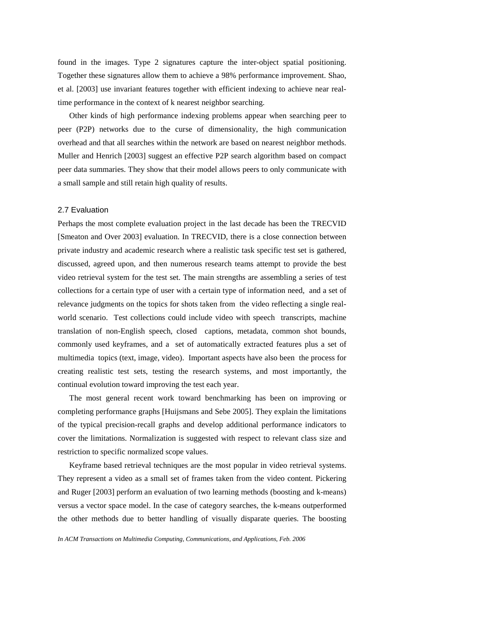found in the images. Type 2 signatures capture the inter-object spatial positioning. Together these signatures allow them to achieve a 98% performance improvement. Shao, et al. [2003] use invariant features together with efficient indexing to achieve near realtime performance in the context of k nearest neighbor searching.

Other kinds of high performance indexing problems appear when searching peer to peer (P2P) networks due to the curse of dimensionality, the high communication overhead and that all searches within the network are based on nearest neighbor methods. Muller and Henrich [2003] suggest an effective P2P search algorithm based on compact peer data summaries. They show that their model allows peers to only communicate with a small sample and still retain high quality of results.

#### 2.7 Evaluation

Perhaps the most complete evaluation project in the last decade has been the TRECVID [Smeaton and Over 2003] evaluation. In TRECVID, there is a close connection between private industry and academic research where a realistic task specific test set is gathered, discussed, agreed upon, and then numerous research teams attempt to provide the best video retrieval system for the test set. The main strengths are assembling a series of test collections for a certain type of user with a certain type of information need, and a set of relevance judgments on the topics for shots taken from the video reflecting a single realworld scenario. Test collections could include video with speech transcripts, machine translation of non-English speech, closed captions, metadata, common shot bounds, commonly used keyframes, and a set of automatically extracted features plus a set of multimedia topics (text, image, video). Important aspects have also been the process for creating realistic test sets, testing the research systems, and most importantly, the continual evolution toward improving the test each year.

The most general recent work toward benchmarking has been on improving or completing performance graphs [Huijsmans and Sebe 2005]. They explain the limitations of the typical precision-recall graphs and develop additional performance indicators to cover the limitations. Normalization is suggested with respect to relevant class size and restriction to specific normalized scope values.

Keyframe based retrieval techniques are the most popular in video retrieval systems. They represent a video as a small set of frames taken from the video content. Pickering and Ruger [2003] perform an evaluation of two learning methods (boosting and k-means) versus a vector space model. In the case of category searches, the k-means outperformed the other methods due to better handling of visually disparate queries. The boosting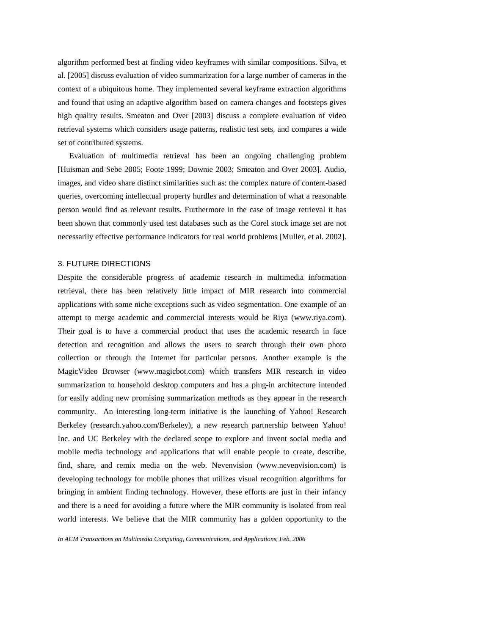algorithm performed best at finding video keyframes with similar compositions. Silva, et al. [2005] discuss evaluation of video summarization for a large number of cameras in the context of a ubiquitous home. They implemented several keyframe extraction algorithms and found that using an adaptive algorithm based on camera changes and footsteps gives high quality results. Smeaton and Over [2003] discuss a complete evaluation of video retrieval systems which considers usage patterns, realistic test sets, and compares a wide set of contributed systems.

Evaluation of multimedia retrieval has been an ongoing challenging problem [Huisman and Sebe 2005; Foote 1999; Downie 2003; Smeaton and Over 2003]. Audio, images, and video share distinct similarities such as: the complex nature of content-based queries, overcoming intellectual property hurdles and determination of what a reasonable person would find as relevant results. Furthermore in the case of image retrieval it has been shown that commonly used test databases such as the Corel stock image set are not necessarily effective performance indicators for real world problems [Muller, et al. 2002].

# 3. FUTURE DIRECTIONS

Despite the considerable progress of academic research in multimedia information retrieval, there has been relatively little impact of MIR research into commercial applications with some niche exceptions such as video segmentation. One example of an attempt to merge academic and commercial interests would be Riya (www.riya.com). Their goal is to have a commercial product that uses the academic research in face detection and recognition and allows the users to search through their own photo collection or through the Internet for particular persons. Another example is the MagicVideo Browser (www.magicbot.com) which transfers MIR research in video summarization to household desktop computers and has a plug-in architecture intended for easily adding new promising summarization methods as they appear in the research community. An interesting long-term initiative is the launching of Yahoo! Research Berkeley (research.yahoo.com/Berkeley), a new research partnership between Yahoo! Inc. and UC Berkeley with the declared scope to explore and invent social media and mobile media technology and applications that will enable people to create, describe, find, share, and remix media on the web. Nevenvision (www.nevenvision.com) is developing technology for mobile phones that utilizes visual recognition algorithms for bringing in ambient finding technology. However, these efforts are just in their infancy and there is a need for avoiding a future where the MIR community is isolated from real world interests. We believe that the MIR community has a golden opportunity to the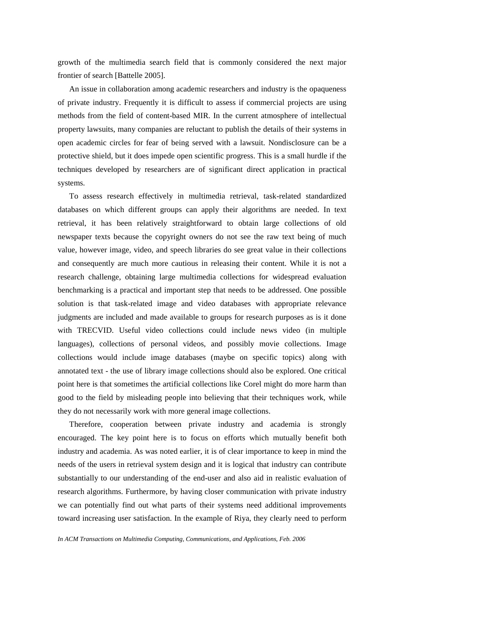growth of the multimedia search field that is commonly considered the next major frontier of search [Battelle 2005].

An issue in collaboration among academic researchers and industry is the opaqueness of private industry. Frequently it is difficult to assess if commercial projects are using methods from the field of content-based MIR. In the current atmosphere of intellectual property lawsuits, many companies are reluctant to publish the details of their systems in open academic circles for fear of being served with a lawsuit. Nondisclosure can be a protective shield, but it does impede open scientific progress. This is a small hurdle if the techniques developed by researchers are of significant direct application in practical systems.

To assess research effectively in multimedia retrieval, task-related standardized databases on which different groups can apply their algorithms are needed. In text retrieval, it has been relatively straightforward to obtain large collections of old newspaper texts because the copyright owners do not see the raw text being of much value, however image, video, and speech libraries do see great value in their collections and consequently are much more cautious in releasing their content. While it is not a research challenge, obtaining large multimedia collections for widespread evaluation benchmarking is a practical and important step that needs to be addressed. One possible solution is that task-related image and video databases with appropriate relevance judgments are included and made available to groups for research purposes as is it done with TRECVID. Useful video collections could include news video (in multiple languages), collections of personal videos, and possibly movie collections. Image collections would include image databases (maybe on specific topics) along with annotated text - the use of library image collections should also be explored. One critical point here is that sometimes the artificial collections like Corel might do more harm than good to the field by misleading people into believing that their techniques work, while they do not necessarily work with more general image collections.

Therefore, cooperation between private industry and academia is strongly encouraged. The key point here is to focus on efforts which mutually benefit both industry and academia. As was noted earlier, it is of clear importance to keep in mind the needs of the users in retrieval system design and it is logical that industry can contribute substantially to our understanding of the end-user and also aid in realistic evaluation of research algorithms. Furthermore, by having closer communication with private industry we can potentially find out what parts of their systems need additional improvements toward increasing user satisfaction. In the example of Riya, they clearly need to perform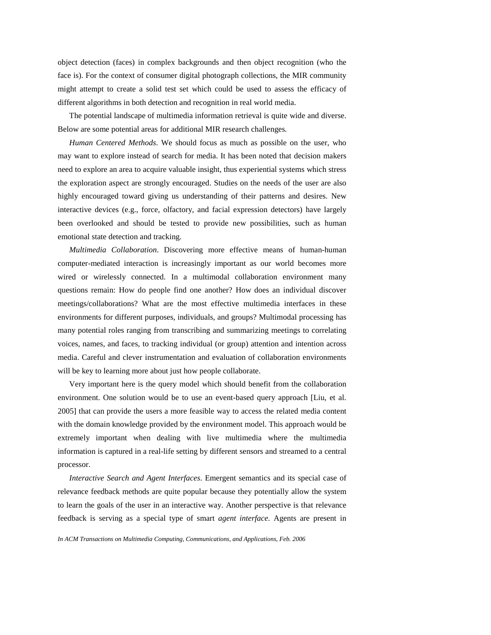object detection (faces) in complex backgrounds and then object recognition (who the face is). For the context of consumer digital photograph collections, the MIR community might attempt to create a solid test set which could be used to assess the efficacy of different algorithms in both detection and recognition in real world media.

The potential landscape of multimedia information retrieval is quite wide and diverse. Below are some potential areas for additional MIR research challenges*.*

*Human Centered Methods*. We should focus as much as possible on the user, who may want to explore instead of search for media. It has been noted that decision makers need to explore an area to acquire valuable insight, thus experiential systems which stress the exploration aspect are strongly encouraged. Studies on the needs of the user are also highly encouraged toward giving us understanding of their patterns and desires. New interactive devices (e.g., force, olfactory, and facial expression detectors) have largely been overlooked and should be tested to provide new possibilities, such as human emotional state detection and tracking.

*Multimedia Collaboration*. Discovering more effective means of human-human computer-mediated interaction is increasingly important as our world becomes more wired or wirelessly connected. In a multimodal collaboration environment many questions remain: How do people find one another? How does an individual discover meetings/collaborations? What are the most effective multimedia interfaces in these environments for different purposes, individuals, and groups? Multimodal processing has many potential roles ranging from transcribing and summarizing meetings to correlating voices, names, and faces, to tracking individual (or group) attention and intention across media. Careful and clever instrumentation and evaluation of collaboration environments will be key to learning more about just how people collaborate.

Very important here is the query model which should benefit from the collaboration environment. One solution would be to use an event-based query approach [Liu, et al. 2005] that can provide the users a more feasible way to access the related media content with the domain knowledge provided by the environment model. This approach would be extremely important when dealing with live multimedia where the multimedia information is captured in a real-life setting by different sensors and streamed to a central processor.

*Interactive Search and Agent Interfaces*. Emergent semantics and its special case of relevance feedback methods are quite popular because they potentially allow the system to learn the goals of the user in an interactive way. Another perspective is that relevance feedback is serving as a special type of smart *agent interface*. Agents are present in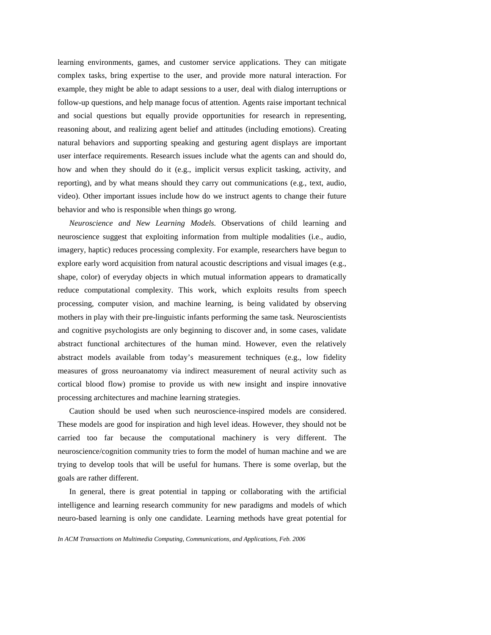learning environments, games, and customer service applications. They can mitigate complex tasks, bring expertise to the user, and provide more natural interaction. For example, they might be able to adapt sessions to a user, deal with dialog interruptions or follow-up questions, and help manage focus of attention. Agents raise important technical and social questions but equally provide opportunities for research in representing, reasoning about, and realizing agent belief and attitudes (including emotions). Creating natural behaviors and supporting speaking and gesturing agent displays are important user interface requirements. Research issues include what the agents can and should do, how and when they should do it (e.g., implicit versus explicit tasking, activity, and reporting), and by what means should they carry out communications (e.g., text, audio, video). Other important issues include how do we instruct agents to change their future behavior and who is responsible when things go wrong.

*Neuroscience and New Learning Models.* Observations of child learning and neuroscience suggest that exploiting information from multiple modalities (i.e., audio, imagery, haptic) reduces processing complexity. For example, researchers have begun to explore early word acquisition from natural acoustic descriptions and visual images (e.g., shape, color) of everyday objects in which mutual information appears to dramatically reduce computational complexity. This work, which exploits results from speech processing, computer vision, and machine learning, is being validated by observing mothers in play with their pre-linguistic infants performing the same task. Neuroscientists and cognitive psychologists are only beginning to discover and, in some cases, validate abstract functional architectures of the human mind. However, even the relatively abstract models available from today's measurement techniques (e.g., low fidelity measures of gross neuroanatomy via indirect measurement of neural activity such as cortical blood flow) promise to provide us with new insight and inspire innovative processing architectures and machine learning strategies.

Caution should be used when such neuroscience-inspired models are considered. These models are good for inspiration and high level ideas. However, they should not be carried too far because the computational machinery is very different. The neuroscience/cognition community tries to form the model of human machine and we are trying to develop tools that will be useful for humans. There is some overlap, but the goals are rather different.

In general, there is great potential in tapping or collaborating with the artificial intelligence and learning research community for new paradigms and models of which neuro-based learning is only one candidate. Learning methods have great potential for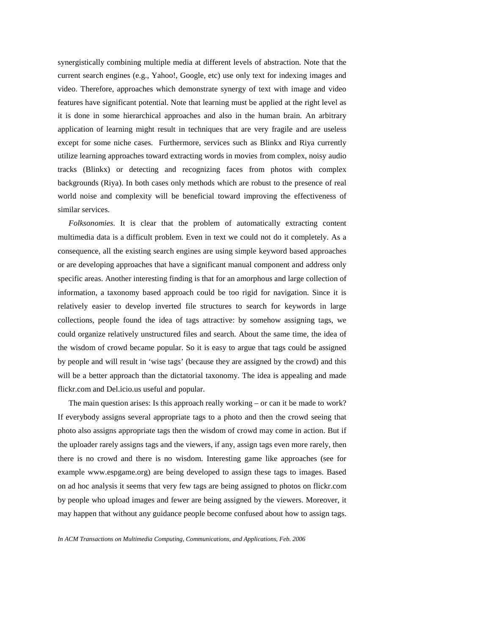synergistically combining multiple media at different levels of abstraction. Note that the current search engines (e.g., Yahoo!, Google, etc) use only text for indexing images and video. Therefore, approaches which demonstrate synergy of text with image and video features have significant potential. Note that learning must be applied at the right level as it is done in some hierarchical approaches and also in the human brain. An arbitrary application of learning might result in techniques that are very fragile and are useless except for some niche cases. Furthermore, services such as Blinkx and Riya currently utilize learning approaches toward extracting words in movies from complex, noisy audio tracks (Blinkx) or detecting and recognizing faces from photos with complex backgrounds (Riya). In both cases only methods which are robust to the presence of real world noise and complexity will be beneficial toward improving the effectiveness of similar services.

*Folksonomies*. It is clear that the problem of automatically extracting content multimedia data is a difficult problem. Even in text we could not do it completely. As a consequence, all the existing search engines are using simple keyword based approaches or are developing approaches that have a significant manual component and address only specific areas. Another interesting finding is that for an amorphous and large collection of information, a taxonomy based approach could be too rigid for navigation. Since it is relatively easier to develop inverted file structures to search for keywords in large collections, people found the idea of tags attractive: by somehow assigning tags, we could organize relatively unstructured files and search. About the same time, the idea of the wisdom of crowd became popular. So it is easy to argue that tags could be assigned by people and will result in 'wise tags' (because they are assigned by the crowd) and this will be a better approach than the dictatorial taxonomy. The idea is appealing and made flickr.com and Del.icio.us useful and popular.

The main question arises: Is this approach really working – or can it be made to work? If everybody assigns several appropriate tags to a photo and then the crowd seeing that photo also assigns appropriate tags then the wisdom of crowd may come in action. But if the uploader rarely assigns tags and the viewers, if any, assign tags even more rarely, then there is no crowd and there is no wisdom. Interesting game like approaches (see for example www.espgame.org) are being developed to assign these tags to images. Based on ad hoc analysis it seems that very few tags are being assigned to photos on flickr.com by people who upload images and fewer are being assigned by the viewers. Moreover, it may happen that without any guidance people become confused about how to assign tags.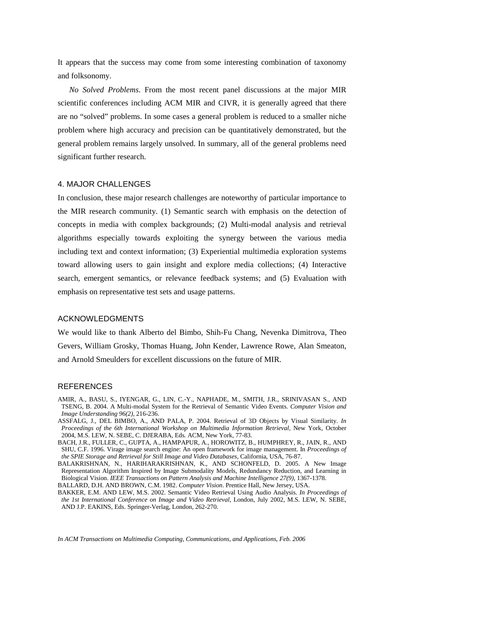It appears that the success may come from some interesting combination of taxonomy and folksonomy.

*No Solved Problems*. From the most recent panel discussions at the major MIR scientific conferences including ACM MIR and CIVR, it is generally agreed that there are no "solved" problems. In some cases a general problem is reduced to a smaller niche problem where high accuracy and precision can be quantitatively demonstrated, but the general problem remains largely unsolved. In summary, all of the general problems need significant further research.

# 4. MAJOR CHALLENGES

In conclusion, these major research challenges are noteworthy of particular importance to the MIR research community. (1) Semantic search with emphasis on the detection of concepts in media with complex backgrounds; (2) Multi-modal analysis and retrieval algorithms especially towards exploiting the synergy between the various media including text and context information; (3) Experiential multimedia exploration systems toward allowing users to gain insight and explore media collections; (4) Interactive search, emergent semantics, or relevance feedback systems; and (5) Evaluation with emphasis on representative test sets and usage patterns.

#### ACKNOWLEDGMENTS

We would like to thank Alberto del Bimbo, Shih-Fu Chang, Nevenka Dimitrova, Theo Gevers, William Grosky, Thomas Huang, John Kender, Lawrence Rowe, Alan Smeaton, and Arnold Smeulders for excellent discussions on the future of MIR.

#### **REFERENCES**

- AMIR, A., BASU, S., IYENGAR, G., LIN, C.-Y., NAPHADE, M., SMITH, J.R., SRINIVASAN S., AND TSENG, B. 2004. A Multi-modal System for the Retrieval of Semantic Video Events. *Computer Vision and Image Understanding 96(2)*, 216-236.
- ASSFALG, J., DEL BIMBO, A., AND PALA, P. 2004. Retrieval of 3D Objects by Visual Similarity. *In Proceedings of the 6th International Workshop on Multimedia Information Retrieval,* New York, October 2004, M.S. LEW, N. SEBE, C. DJERABA, Eds. ACM, New York, 77-83.
- BACH, J.R., FULLER, C., GUPTA, A., HAMPAPUR, A., HOROWITZ, B., HUMPHREY, R., JAIN, R., AND SHU, C.F. 1996. Virage image search engine: An open framework for image management. In *Proceedings of the SPIE Storage and Retrieval for Still Image and Video Databases*, California, USA, 76-87.

BALAKRISHNAN, N., HARIHARAKRISHNAN, K., AND SCHONFELD, D. 2005. A New Image Representation Algorithm Inspired by Image Submodality Models, Redundancy Reduction, and Learning in Biological Vision. *IEEE Transactions on Pattern Analysis and Machine Intelligence 27(9)*, 1367-1378. BALLARD, D.H. AND BROWN, C.M. 1982. *Computer Vision*. Prentice Hall, New Jersey, USA.

BAKKER, E.M. AND LEW, M.S. 2002. Semantic Video Retrieval Using Audio Analysis. *In Proceedings of the 1st International Conference on Image and Video Retrieval*, London, July 2002, M.S. LEW, N. SEBE, AND J.P. EAKINS, Eds. Springer-Verlag, London, 262-270.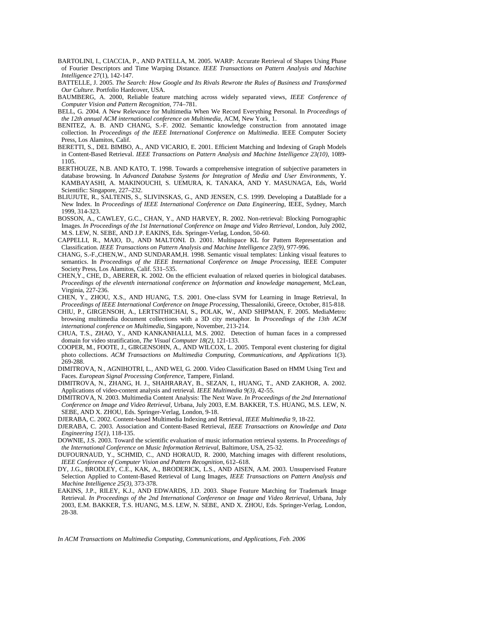- BARTOLINI, I., CIACCIA, P., AND PATELLA, M. 2005. WARP: Accurate Retrieval of Shapes Using Phase of Fourier Descriptors and Time Warping Distance. *IEEE Transactions on Pattern Analysis and Machine Intelligence* 27(1), 142-147.
- BATTELLE, J. 2005. *The Search: How Google and Its Rivals Rewrote the Rules of Business and Transformed Our Culture*. Portfolio Hardcover, USA.
- BAUMBERG, A. 2000, Reliable feature matching across widely separated views, *IEEE Conference of Computer Vision and Pattern Recognition*, 774–781.
- BELL, G. 2004. A New Relevance for Multimedia When We Record Everything Personal. In *Proceedings of the 12th annual ACM international conference on Multimedia*, ACM, New York, 1.
- BENITEZ, A. B. AND CHANG, S.-F. 2002. Semantic knowledge construction from annotated image collection. In *Proceedings of the IEEE International Conference on Multimedia*. IEEE Computer Society Press, Los Alamitos, Calif.
- BERETTI, S., DEL BIMBO, A., AND VICARIO, E. 2001. Efficient Matching and Indexing of Graph Models in Content-Based Retrieval. *IEEE Transactions on Pattern Analysis and Machine Intelligence 23(10)*, 1089- 1105.
- BERTHOUZE, N.B. AND KATO, T. 1998. Towards a comprehensive integration of subjective parameters in database browsing. In *Advanced Database Systems for Integration of Media and User Environments*, Y. KAMBAYASHI, A. MAKINOUCHI, S. UEMURA, K. TANAKA, AND Y. MASUNAGA, Eds, World Scientific: Singapore, 227–232.
- BLIUJUTE, R., SALTENIS, S., SLIVINSKAS, G., AND JENSEN, C.S. 1999. Developing a DataBlade for a New Index. In *Proceedings of IEEE International Conference on Data Engineering*, IEEE, Sydney, March 1999, 314-323.
- BOSSON, A., CAWLEY, G.C., CHAN, Y., AND HARVEY, R. 2002. Non-retrieval: Blocking Pornographic Images. *In Proceedings of the 1st International Conference on Image and Video Retrieval*, London, July 2002, M.S. LEW, N. SEBE, AND J.P. EAKINS, Eds. Springer-Verlag, London, 50-60.
- CAPPELLI, R., MAIO, D., AND MALTONI. D. 2001. Multispace KL for Pattern Representation and Classification. *IEEE Transactions on Pattern Analysis and Machine Intelligence 23(9)*, 977-996.
- CHANG, S.-F.,CHEN,W., AND SUNDARAM,H. 1998. Semantic visual templates: Linking visual features to semantics. In *Proceedings of the IEEE International Conference on Image Processing*, IEEE Computer Society Press, Los Alamitos, Calif. 531–535.
- CHEN,Y., CHE, D., ABERER, K. 2002. On the efficient evaluation of relaxed queries in biological databases. *Proceedings of the eleventh international conference on Information and knowledge management*, McLean, Virginia, 227-236.
- CHEN, Y., ZHOU, X.S., AND HUANG, T.S. 2001. One-class SVM for Learning in Image Retrieval, In *Proceedings of IEEE International Conference on Image Processing*, Thessaloniki, Greece, October, 815-818.
- CHIU, P., GIRGENSOH, A., LERTSITHICHAI, S., POLAK, W., AND SHIPMAN, F. 2005. MediaMetro: browsing multimedia document collections with a 3D city metaphor. In *Proceedings of the 13th ACM international conference on Multimedia*, Singapore, November, 213-214.
- CHUA, T.S., ZHAO, Y., AND KANKANHALLI, M.S. 2002. Detection of human faces in a compressed domain for video stratification, *The Visual Computer 18(2)*, 121-133.
- COOPER, M., FOOTE, J., GIRGENSOHN, A., AND WILCOX, L. 2005. Temporal event clustering for digital photo collections. *ACM Transactions on Multimedia Computing, Communications, and Applications* 1(3). 269-288.
- DIMITROVA, N., AGNIHOTRI, L., AND WEI, G. 2000. Video Classification Based on HMM Using Text and Faces. *European Signal Processing Conference*, Tampere, Finland.
- DIMITROVA, N., ZHANG, H. J., SHAHRARAY, B., SEZAN, I., HUANG, T., AND ZAKHOR, A. 2002. Applications of video-content analysis and retrieval. *IEEE Multimedia 9(3)*, 42-55.
- DIMITROVA, N. 2003. Multimedia Content Analysis: The Next Wave. *In Proceedings of the 2nd International Conference on Image and Video Retrieval*, Urbana, July 2003, E.M. BAKKER, T.S. HUANG, M.S. LEW, N. SEBE, AND X. ZHOU, Eds. Springer-Verlag, London, 9-18.
- DJERABA, C. 2002. Content-based Multimedia Indexing and Retrieval, *IEEE Multimedia 9*, 18-22.
- DJERABA, C. 2003. Association and Content-Based Retrieval, *IEEE Transactions on Knowledge and Data Engineering 15(1)*, 118-135.
- DOWNIE, J.S. 2003. Toward the scientific evaluation of music information retrieval systems. In *Proceedings of the International Conference on Music Information Retrieval*, Baltimore, USA, 25-32.
- DUFOURNAUD, Y., SCHMID, C., AND HORAUD, R. 2000, Matching images with different resolutions, *IEEE Conference of Computer Vision and Pattern Recognition*, 612–618.
- DY, J.G., BRODLEY, C.E., KAK, A., BRODERICK, L.S., AND AISEN, A.M. 2003. Unsupervised Feature Selection Applied to Content-Based Retrieval of Lung Images, *IEEE Transactions on Pattern Analysis and Machine Intelligence 25(3)*, 373-378.
- EAKINS, J.P., RILEY, K.J., AND EDWARDS, J.D. 2003. Shape Feature Matching for Trademark Image Retrieval. *In Proceedings of the 2nd International Conference on Image and Video Retrieval*, Urbana, July 2003, E.M. BAKKER, T.S. HUANG, M.S. LEW, N. SEBE, AND X. ZHOU, Eds. Springer-Verlag, London, 28-38.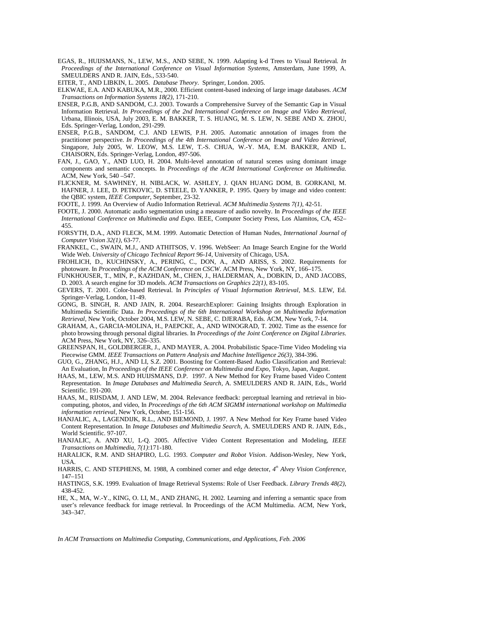EGAS, R., HUIJSMANS, N., LEW, M.S., AND SEBE, N. 1999. Adapting k-d Trees to Visual Retrieval*. In Proceedings of the International Conference on Visual Information Systems*, Amsterdam, June 1999, A. SMEULDERS AND R. JAIN, Eds., 533-540.

EITER, T., AND LIBKIN, L. 2005. *Database Theory*. Springer, London. 2005.

- ELKWAE, E.A. AND KABUKA, M.R., 2000. Efficient content-based indexing of large image databases. *ACM Transactions on Information Systems 18(2)*, 171-210.
- ENSER, P.G.B, AND SANDOM, C.J. 2003. Towards a Comprehensive Survey of the Semantic Gap in Visual Information Retrieval. *In Proceedings of the 2nd International Conference on Image and Video Retrieval*, Urbana, Illinois, USA, July 2003, E. M. BAKKER, T. S. HUANG, M. S. LEW, N. SEBE AND X. ZHOU, Eds. Springer-Verlag, London, 291-299.
- ENSER, P.G.B., SANDOM, C.J. AND LEWIS, P.H. 2005. Automatic annotation of images from the practitioner perspective. *In Proceedings of the 4th International Conference on Image and Video Retrieval*, Singapore, July 2005, W. LEOW, M.S. LEW, T.-S. CHUA, W.-Y. MA, E.M. BAKKER, AND L. CHAISORN, Eds. Springer-Verlag, London, 497-506.
- FAN, J., GAO, Y., AND LUO, H. 2004. Multi-level annotation of natural scenes using dominant image components and semantic concepts. In *Proceedings of the ACM International Conference on Multimedia.* ACM, New York, 540 –547.
- FLICKNER, M. SAWHNEY, H. NIBLACK, W. ASHLEY, J. QIAN HUANG DOM, B. GORKANI, M. HAFNER, J. LEE, D. PETKOVIC, D. STEELE, D. YANKER, P. 1995. Query by image and video content: the QBIC system, *IEEE Computer*, September, 23-32.
- FOOTE, J. 1999. An Overview of Audio Information Retrieval. *ACM Multimedia Systems 7(1)*, 42-51.
- FOOTE, J. 2000. Automatic audio segmentation using a measure of audio novelty. In *Proceedings of the IEEE International Conference on Multimedia and Expo*. IEEE, Computer Society Press, Los Alamitos, CA, 452– 455.
- FORSYTH, D.A., AND FLECK, M.M. 1999. Automatic Detection of Human Nudes, *International Journal of Computer Vision 32(1)*, 63-77.
- FRANKEL, C., SWAIN, M.J., AND ATHITSOS, V. 1996. WebSeer: An Image Search Engine for the World Wide Web. *University of Chicago Technical Report 96-14*, University of Chicago, USA.
- FROHLICH, D., KUCHINSKY, A., PERING, C., DON, A., AND ARISS, S. 2002. Requirements for photoware. In *Proceedings of the ACM Conference on CSCW*. ACM Press, New York, NY, 166–175.
- FUNKHOUSER, T., MIN, P., KAZHDAN, M., CHEN, J., HALDERMAN, A., DOBKIN, D., AND JACOBS, D. 2003. A search engine for 3D models. *ACM Transactions on Graphics 22(1)*, 83-105.
- GEVERS, T. 2001. Color-based Retrieval. In *Principles of Visual Information Retrieval*, M.S. LEW, Ed. Springer-Verlag, London, 11-49.
- GONG, B. SINGH, R. AND JAIN, R. 2004. ResearchExplorer: Gaining Insights through Exploration in Multimedia Scientific Data. *In Proceedings of the 6th International Workshop on Multimedia Information Retrieval,* New York, October 2004, M.S. LEW, N. SEBE, C. DJERABA, Eds. ACM, New York, 7-14.
- GRAHAM, A., GARCIA-MOLINA, H., PAEPCKE, A., AND WINOGRAD, T. 2002. Time as the essence for photo browsing through personal digital libraries. In *Proceedings of the Joint Conference on Digital Libraries*. ACM Press, New York, NY, 326–335.
- GREENSPAN, H., GOLDBERGER, J., AND MAYER, A. 2004. Probabilistic Space-Time Video Modeling via Piecewise GMM. *IEEE Transactions on Pattern Analysis and Machine Intelligence 26(3)*, 384-396.
- GUO, G., ZHANG, H.J., AND LI, S.Z. 2001. Boosting for Content-Based Audio Classification and Retrieval: An Evaluation, In *Proceedings of the IEEE Conference on Multimedia and Expo*, Tokyo, Japan, August.
- HAAS, M., LEW, M.S. AND HUIJSMANS, D.P. 1997. A New Method for Key Frame based Video Content Representation. In *Image Databases and Multimedia Search*, A. SMEULDERS AND R. JAIN, Eds., World Scientific. 191-200.
- HAAS, M., RIJSDAM, J. AND LEW, M. 2004. Relevance feedback: perceptual learning and retrieval in biocomputing, photos, and video, In *Proceedings of the 6th ACM SIGMM international workshop on Multimedia information retrieval*, New York, October, 151-156.
- HANJALIC, A., LAGENDIJK, R.L., AND BIEMOND, J. 1997. A New Method for Key Frame based Video Content Representation. In *Image Databases and Multimedia Search*, A. SMEULDERS AND R. JAIN, Eds., World Scientific. 97-107.
- HANJALIC, A. AND XU, L-Q. 2005. Affective Video Content Representation and Modeling, *IEEE Transactions on Multimedia, 7(1)*:171-180.
- HARALICK, R.M. AND SHAPIRO, L.G. 1993. *Computer and Robot Vision*. Addison-Wesley, New York, USA.
- HARRIS, C. AND STEPHENS, M. 1988, A combined corner and edge detector, *4th Alvey Vision Conference*, 147–151
- HASTINGS, S.K. 1999. Evaluation of Image Retrieval Systems: Role of User Feedback. *Library Trends 48(2)*, 438-452.
- HE, X., MA, W.-Y., KING, O. LI, M., AND ZHANG, H. 2002. Learning and inferring a semantic space from user's relevance feedback for image retrieval. In Proceedings of the ACM Multimedia. ACM, New York, 343–347.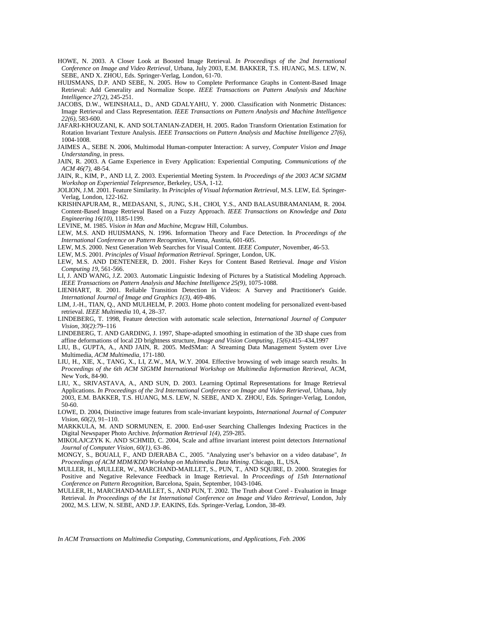- HOWE, N. 2003. A Closer Look at Boosted Image Retrieval. *In Proceedings of the 2nd International Conference on Image and Video Retrieval*, Urbana, July 2003, E.M. BAKKER, T.S. HUANG, M.S. LEW, N. SEBE, AND X. ZHOU, Eds. Springer-Verlag, London, 61-70.
- HUIJSMANS, D.P. AND SEBE, N. 2005. How to Complete Performance Graphs in Content-Based Image Retrieval: Add Generality and Normalize Scope. *IEEE Transactions on Pattern Analysis and Machine Intelligence 27(2)*, 245-251.
- JACOBS, D.W., WEINSHALL, D., AND GDALYAHU, Y. 2000. Classification with Nonmetric Distances: Image Retrieval and Class Representation. *IEEE Transactions on Pattern Analysis and Machine Intelligence 22(6)*, 583-600.
- JAFARI-KHOUZANI, K. AND SOLTANIAN-ZADEH, H. 2005. Radon Transform Orientation Estimation for Rotation Invariant Texture Analysis. *IEEE Transactions on Pattern Analysis and Machine Intelligence 27(6)*, 1004-1008.
- JAIMES A., SEBE N. 2006, Multimodal Human-computer Interaction: A survey, *Computer Vision and Image Understanding,* in press.
- JAIN, R. 2003. A Game Experience in Every Application: Experiential Computing. *Communications of the ACM 46(7)*, 48-54.
- JAIN, R., KIM, P., AND LI, Z. 2003. Experiential Meeting System. In *Proceedings of the 2003 ACM SIGMM Workshop on Experiential Telepresence*, Berkeley, USA, 1-12.
- JOLION, J.M. 2001. Feature Similarity. In *Principles of Visual Information Retrieval*, M.S. LEW, Ed. Springer-Verlag, London, 122-162.
- KRISHNAPURAM, R., MEDASANI, S., JUNG, S.H., CHOI, Y.S., AND BALASUBRAMANIAM, R. 2004. Content-Based Image Retrieval Based on a Fuzzy Approach. *IEEE Transactions on Knowledge and Data Engineering 16(10)*, 1185-1199.
- LEVINE, M. 1985. *Vision in Man and Machine*, Mcgraw Hill, Columbus.
- LEW, M.S. AND HUIJSMANS, N. 1996. Information Theory and Face Detection. In *Proceedings of the International Conference on Pattern Recogntion*, Vienna, Austria, 601-605.
- LEW, M.S. 2000. Next Generation Web Searches for Visual Content. *IEEE Computer*, November, 46-53.
- LEW, M.S. 2001. *Principles of Visual Information Retrieval*. Springer, London, UK.
- LEW, M.S. AND DENTENEER, D. 2001. Fisher Keys for Content Based Retrieval. *Image and Vision Computing 19*, 561-566.
- LI, J. AND WANG, J.Z. 2003. Automatic Linguistic Indexing of Pictures by a Statistical Modeling Approach. *IEEE Transactions on Pattern Analysis and Machine Intelligence 25(9)*, 1075-1088.
- LIENHART, R. 2001. Reliable Transition Detection in Videos: A Survey and Practitioner's Guide. *International Journal of Image and Graphics 1(3)*, 469-486.
- LIM, J.-H., TIAN, Q., AND MULHELM, P. 2003. Home photo content modeling for personalized event-based retrieval. *IEEE Multimedia* 10, 4, 28–37.
- LINDEBERG, T. 1998, Feature detection with automatic scale selection, *International Journal of Computer Vision*, *30(2)*:79–116
- LINDEBERG, T. AND GARDING, J. 1997, Shape-adapted smoothing in estimation of the 3D shape cues from affine deformations of local 2D brightness structure, *Image and Vision Computing, 15(6)*:415–434,1997
- LIU, B., GUPTA, A., AND JAIN, R. 2005. MedSMan: A Streaming Data Management System over Live Multimedia, *ACM Multimedia,* 171-180.
- LIU, H., XIE, X., TANG, X., LI, Z.W., MA, W.Y. 2004. Effective browsing of web image search results. In *Proceedings of the 6th ACM SIGMM International Workshop on Multimedia Information Retrieval*, ACM, New York, 84-90.
- LIU, X., SRIVASTAVA, A., AND SUN, D. 2003. Learning Optimal Representations for Image Retrieval Applications. *In Proceedings of the 3rd International Conference on Image and Video Retrieval*, Urbana, July 2003, E.M. BAKKER, T.S. HUANG, M.S. LEW, N. SEBE, AND X. ZHOU, Eds. Springer-Verlag, London, 50-60.
- LOWE, D. 2004, Distinctive image features from scale-invariant keypoints, *International Journal of Computer Vision, 60(2)*, 91–110.
- MARKKULA, M. AND SORMUNEN, E. 2000. End-user Searching Challenges Indexing Practices in the Digital Newspaper Photo Archive. *Information Retrieval 1(4)*, 259-285.
- MIKOLAJCZYK K. AND SCHMID, C. 2004, Scale and affine invariant interest point detectors *International Journal of Computer Vision, 60(1)*, 63–86.
- MONGY, S., BOUALI, F., AND DJERABA C., 2005. "Analyzing user's behavior on a video database", *In Proceedings of ACM MDM/KDD Workshop on Multimedia Data Mining*. Chicago, IL, USA.
- MULLER, H., MULLER, W., MARCHAND-MAILLET, S., PUN, T., AND SQUIRE, D. 2000. Strategies for Positive and Negative Relevance Feedback in Image Retrieval. In *Proceedings of 15th International Conference on Pattern Recognition*, Barcelona, Spain, September, 1043-1046.
- MULLER, H., MARCHAND-MAILLET, S., AND PUN, T. 2002. The Truth about Corel Evaluation in Image Retrieval. *In Proceedings of the 1st International Conference on Image and Video Retrieval*, London, July 2002, M.S. LEW, N. SEBE, AND J.P. EAKINS, Eds. Springer-Verlag, London, 38-49.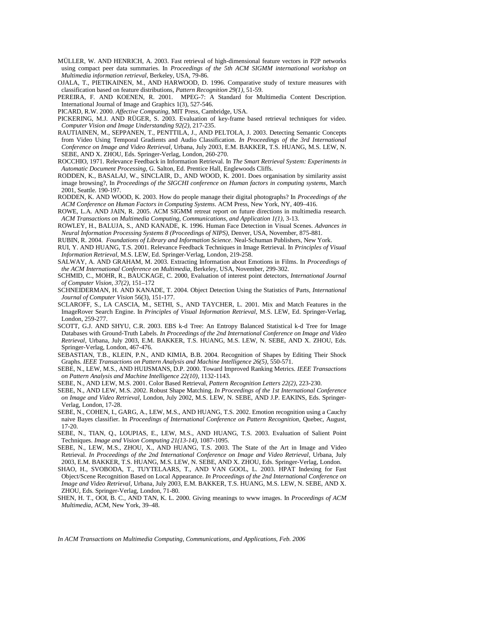- MÜLLER, W. AND HENRICH, A. 2003. Fast retrieval of high-dimensional feature vectors in P2P networks using compact peer data summaries. In *Proceedings of the 5th ACM SIGMM international workshop on Multimedia information retrieval*, Berkeley, USA, 79-86.
- OJALA, T., PIETIKAINEN, M., AND HARWOOD, D. 1996. Comparative study of texture measures with classification based on feature distributions, *Pattern Recognition 29(1)*, 51-59.
- PEREIRA, F. AND KOENEN, R. 2001. MPEG-7: A Standard for Multimedia Content Description. International Journal of Image and Graphics 1(3), 527-546.
- PICARD, R.W. 2000. *Affective Computing*, MIT Press, Cambridge, USA.
- PICKERING, M.J. AND RÜGER, S. 2003. Evaluation of key-frame based retrieval techniques for video. *Computer Vision and Image Understanding 92(2)*, 217-235.
- RAUTIAINEN, M., SEPPANEN, T., PENTTILA, J., AND PELTOLA, J. 2003. Detecting Semantic Concepts from Video Using Temporal Gradients and Audio Classification. *In Proceedings of the 3rd International Conference on Image and Video Retrieval*, Urbana, July 2003, E.M. BAKKER, T.S. HUANG, M.S. LEW, N. SEBE, AND X. ZHOU, Eds. Springer-Verlag, London, 260-270.
- ROCCHIO, 1971. Relevance Feedback in Information Retrieval. In *The Smart Retrieval System: Experiments in Automatic Document Processing*, G. Salton, Ed. Prentice Hall, Englewoods Cliffs.
- RODDEN, K., BASALAJ, W., SINCLAIR, D., AND WOOD, K. 2001. Does organisation by similarity assist image browsing?, In *Proceedings of the SIGCHI conference on Human factors in computing systems,* March 2001, Seattle. 190-197.
- RODDEN, K. AND WOOD, K. 2003. How do people manage their digital photographs? In *Proceedings of the ACM Conference on Human Factors in Computing Systems*. ACM Press, New York, NY, 409–416.
- ROWE, L.A. AND JAIN, R. 2005. ACM SIGMM retreat report on future directions in multimedia research. *ACM Transactions on Multimedia Computing, Communications, and Application 1(1),* 3-13.
- ROWLEY, H., BALUJA, S., AND KANADE, K. 1996. Human Face Detection in Visual Scenes. *Advances in Neural Information Processing Systems 8 (Proceedings of NIPS)*, Denver, USA, November, 875-881.
- RUBIN, R. 2004. *Foundations of Library and Information Science*. Neal-Schuman Publishers, New York.
- RUI, Y. AND HUANG, T.S. 2001. Relevance Feedback Techniques in Image Retrieval. In *Principles of Visual Information Retrieval*, M.S. LEW, Ed. Springer-Verlag, London, 219-258.
- SALWAY, A. AND GRAHAM, M. 2003. Extracting Information about Emotions in Films. In *Proceedings of the ACM International Conference on Multimedia*, Berkeley, USA, November, 299-302.
- SCHMID, C., MOHR, R., BAUCKAGE, C. 2000, Evaluation of interest point detectors, *International Journal of Computer Vision, 37(2)*, 151–172
- SCHNEIDERMAN, H. AND KANADE, T. 2004. Object Detection Using the Statistics of Parts, *International Journal of Computer Vision* 56(3), 151-177.
- SCLAROFF, S., LA CASCIA, M., SETHI, S., AND TAYCHER, L. 2001. Mix and Match Features in the ImageRover Search Engine. In *Principles of Visual Information Retrieval*, M.S. LEW, Ed. Springer-Verlag, London, 259-277.
- SCOTT, G.J. AND SHYU, C.R. 2003. EBS k-d Tree: An Entropy Balanced Statistical k-d Tree for Image Databases with Ground-Truth Labels. *In Proceedings of the 2nd International Conference on Image and Video Retrieval*, Urbana, July 2003, E.M. BAKKER, T.S. HUANG, M.S. LEW, N. SEBE, AND X. ZHOU, Eds. Springer-Verlag, London, 467-476.
- SEBASTIAN, T.B., KLEIN, P.N., AND KIMIA, B.B. 2004. Recognition of Shapes by Editing Their Shock Graphs. *IEEE Transactions on Pattern Analysis and Machine Intelligence 26(5)*, 550-571.
- SEBE, N., LEW, M.S., AND HUIJSMANS, D.P. 2000. Toward Improved Ranking Metrics. *IEEE Transactions on Pattern Analysis and Machine Intelligence 22(10)*, 1132-1143.
- SEBE, N., AND LEW, M.S. 2001. Color Based Retrieval, *Pattern Recognition Letters 22(2)*, 223-230.
- SEBE, N., AND LEW, M.S. 2002. Robust Shape Matching. *In Proceedings of the 1st International Conference on Image and Video Retrieval*, London, July 2002, M.S. LEW, N. SEBE, AND J.P. EAKINS, Eds. Springer-Verlag, London, 17-28.
- SEBE, N., COHEN, I., GARG, A., LEW, M.S., AND HUANG, T.S. 2002. Emotion recognition using a Cauchy naive Bayes classifier. In *Proceedings of International Conference on Pattern Recognition*, Quebec, August, 17-20.
- SEBE, N., TIAN, Q., LOUPIAS, E., LEW, M.S., AND HUANG, T.S. 2003. Evaluation of Salient Point Techniques. *Image and Vision Computing 21(13-14),* 1087-1095.
- SEBE, N., LEW, M.S., ZHOU, X., AND HUANG, T.S. 2003. The State of the Art in Image and Video Retrieval. *In Proceedings of the 2nd International Conference on Image and Video Retrieval*, Urbana, July 2003, E.M. BAKKER, T.S. HUANG, M.S. LEW, N. SEBE, AND X. ZHOU, Eds. Springer-Verlag, London.
- SHAO, H., SVOBODA, T., TUYTELAARS, T., AND VAN GOOL, L. 2003. HPAT Indexing for Fast Object/Scene Recognition Based on Local Appearance. *In Proceedings of the 2nd International Conference on Image and Video Retrieval*, Urbana, July 2003, E.M. BAKKER, T.S. HUANG, M.S. LEW, N. SEBE, AND X. ZHOU, Eds. Springer-Verlag, London, 71-80.
- SHEN, H. T., OOI, B. C., AND TAN, K. L. 2000. Giving meanings to www images. In *Proceedings of ACM Multimedia*, ACM, New York, 39–48.